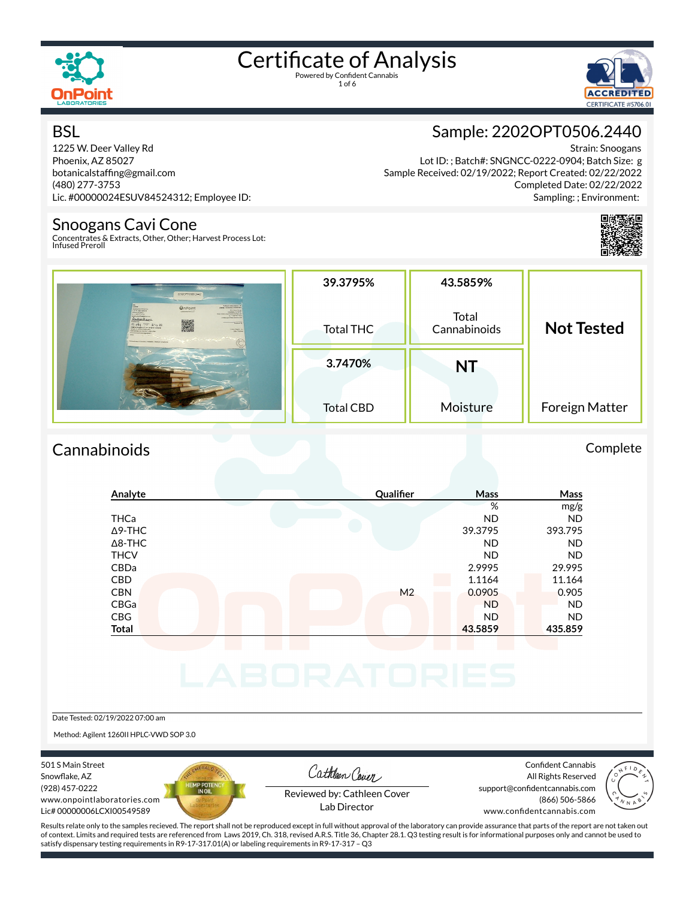

# Certificate of Analysis



#### **BSL**

1225 W. Deer Valley Rd Phoenix, AZ 85027 botanicalstaffing@gmail.com (480) 277-3753 Lic. #00000024ESUV84524312; Employee ID:

#### Snoogans Cavi Cone

Concentrates & Extracts, Other, Other; Harvest Process Lot: Infused Preroll

### Sample: 2202OPT0506.2440

Strain: Snoogans Lot ID: ; Batch#: SNGNCC-0222-0904; Batch Size: g Sample Received: 02/19/2022; Report Created: 02/22/2022 Completed Date: 02/22/2022 Sampling: ; Environment:



| 22020PT0506.2442                                                                                                                                                                                                                                                                                                                                                                                                                                                                                                                                                                                                                                                                                                                                                                                                                                                                                                        | 39.3795%         | 43.5859%              |                   |
|-------------------------------------------------------------------------------------------------------------------------------------------------------------------------------------------------------------------------------------------------------------------------------------------------------------------------------------------------------------------------------------------------------------------------------------------------------------------------------------------------------------------------------------------------------------------------------------------------------------------------------------------------------------------------------------------------------------------------------------------------------------------------------------------------------------------------------------------------------------------------------------------------------------------------|------------------|-----------------------|-------------------|
| <b>BARATE LANE ENTER LLC</b><br><b>UnPoint</b><br><b>A MANY TERRITORY CONSUMING</b><br><b>BOODNER, VANCAS</b><br><b>W17 Watch Toronto</b><br><b>EDIT MCOMMISSION WAS</b><br><b>Inhopening</b> LLC<br><b>Localista AT FORT</b><br><b><i><u>Company's Canadas and Canadas and Canadas and Canadas and Canadas and Canadas and Canadas and Canadas and Canadas and Canadas and Canadas and Canadas and Canadas and Canadas and Canadas and Canadas and Canadas and Canad</u></i></b><br><b>In the party of the original program and the con-</b><br>Cost who will when<br>CONTRACTOR<br>Anyber Maura<br><b>Received By</b><br>$10.654$ 73° 146-22<br><b>Drama kengisarut Cestamente bassara</b><br><b>Service # 20000mmmmmmmm</b><br>mala Waight N.A.<br><b>Designant</b><br>Colombal Austria al Children E dolla 2 ho.<br><b>Concernment &amp; Concern almost</b><br>Convention & Extrain,   Intuices   Mohlal Compliance | <b>Total THC</b> | Total<br>Cannabinoids | <b>Not Tested</b> |
|                                                                                                                                                                                                                                                                                                                                                                                                                                                                                                                                                                                                                                                                                                                                                                                                                                                                                                                         | 3.7470%          | <b>NT</b>             |                   |
|                                                                                                                                                                                                                                                                                                                                                                                                                                                                                                                                                                                                                                                                                                                                                                                                                                                                                                                         | <b>Total CBD</b> | Moisture              | Foreign Matter    |

#### Cannabinoids Complete

| Analyte        | Qualifier      | Mass      | Mass      |
|----------------|----------------|-----------|-----------|
|                |                | %         | mg/g      |
| <b>THCa</b>    |                | <b>ND</b> | <b>ND</b> |
| $\Delta$ 9-THC |                | 39.3795   | 393.795   |
| $\Delta$ 8-THC |                | <b>ND</b> | <b>ND</b> |
| <b>THCV</b>    |                | <b>ND</b> | <b>ND</b> |
| CBDa           |                | 2.9995    | 29.995    |
| <b>CBD</b>     |                | 1.1164    | 11.164    |
| <b>CBN</b>     | M <sub>2</sub> | 0.0905    | 0.905     |
| CBGa           |                | <b>ND</b> | <b>ND</b> |
| CBG            |                | <b>ND</b> | <b>ND</b> |
| <b>Total</b>   |                | 43.5859   | 435.859   |

#### Date Tested: 02/19/2022 07:00 am

Method: Agilent 1260II HPLC-VWD SOP 3.0

501 S Main Street Snowflake, AZ (928) 457-0222 www.onpointlaboratories.com Lic# 00000006LCXI00549589



Cathleen Cover

Confident Cannabis All Rights Reserved support@confidentcannabis.com (866) 506-5866



Reviewed by: Cathleen Cover Lab Director

www.confidentcannabis.com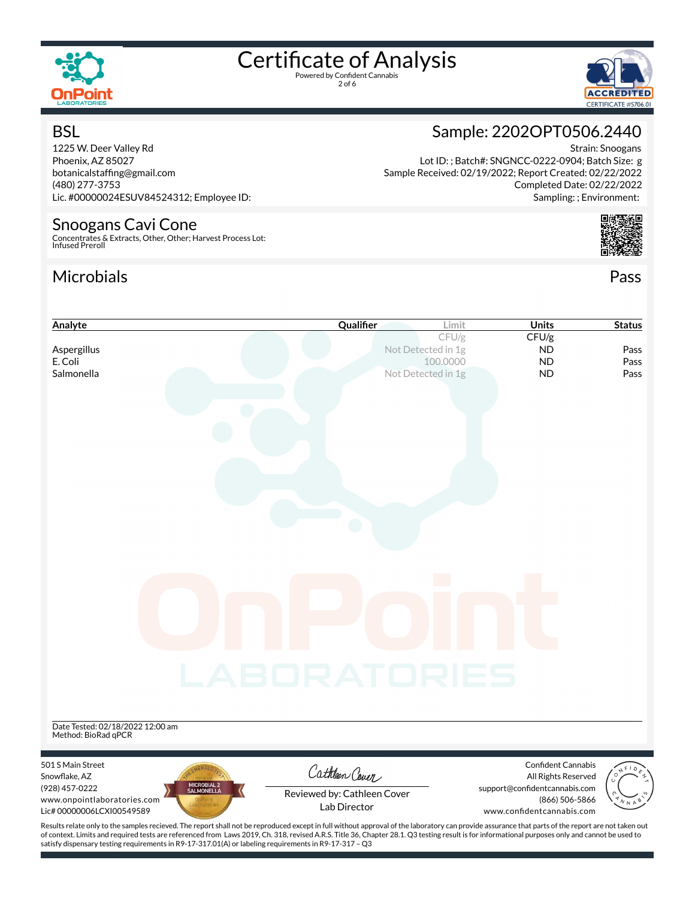

**BSL** 

## Certificate of Analysis

2 of 6



Strain: Snoogans

Completed Date: 02/22/2022 Sampling: ; Environment:

### Sample: 2202OPT0506.2440

Lot ID: ; Batch#: SNGNCC-0222-0904; Batch Size: g Sample Received: 02/19/2022; Report Created: 02/22/2022

1225 W. Deer Valley Rd Phoenix, AZ 85027 botanicalstaffing@gmail.com (480) 277-3753 Lic. #00000024ESUV84524312; Employee ID:

#### Snoogans Cavi Cone

Concentrates & Extracts, Other, Other; Harvest Process Lot: Infused Preroll

satisfy dispensary testing requirements in R9-17-317.01(A) or labeling requirements in R9-17-317 – Q3

#### Microbials Pass



| Analyte                                                                                                                                                                                            | Qualifier                   | Limit              | Units                                                | <b>Status</b> |
|----------------------------------------------------------------------------------------------------------------------------------------------------------------------------------------------------|-----------------------------|--------------------|------------------------------------------------------|---------------|
|                                                                                                                                                                                                    |                             | CFU/g              | CFU/g                                                |               |
| Aspergillus                                                                                                                                                                                        |                             | Not Detected in 1g | <b>ND</b>                                            | Pass          |
| E. Coli                                                                                                                                                                                            |                             | 100.0000           | <b>ND</b>                                            | Pass          |
| Salmonella                                                                                                                                                                                         |                             | Not Detected in 1g | <b>ND</b>                                            | Pass          |
|                                                                                                                                                                                                    |                             |                    |                                                      |               |
|                                                                                                                                                                                                    |                             |                    |                                                      |               |
|                                                                                                                                                                                                    |                             |                    |                                                      |               |
|                                                                                                                                                                                                    |                             |                    |                                                      |               |
|                                                                                                                                                                                                    |                             |                    |                                                      |               |
|                                                                                                                                                                                                    |                             |                    |                                                      |               |
|                                                                                                                                                                                                    |                             |                    |                                                      |               |
|                                                                                                                                                                                                    |                             |                    |                                                      |               |
|                                                                                                                                                                                                    |                             |                    |                                                      |               |
|                                                                                                                                                                                                    |                             |                    |                                                      |               |
|                                                                                                                                                                                                    |                             |                    |                                                      |               |
|                                                                                                                                                                                                    |                             |                    |                                                      |               |
|                                                                                                                                                                                                    |                             |                    |                                                      |               |
|                                                                                                                                                                                                    |                             |                    |                                                      |               |
|                                                                                                                                                                                                    |                             |                    |                                                      |               |
|                                                                                                                                                                                                    |                             |                    |                                                      |               |
|                                                                                                                                                                                                    |                             |                    |                                                      |               |
|                                                                                                                                                                                                    |                             |                    |                                                      |               |
|                                                                                                                                                                                                    |                             |                    |                                                      |               |
|                                                                                                                                                                                                    |                             |                    |                                                      |               |
|                                                                                                                                                                                                    | LABORATORIES                |                    |                                                      |               |
|                                                                                                                                                                                                    |                             |                    |                                                      |               |
|                                                                                                                                                                                                    |                             |                    |                                                      |               |
| Date Tested: 02/18/2022 12:00 am                                                                                                                                                                   |                             |                    |                                                      |               |
| Method: BioRad qPCR                                                                                                                                                                                |                             |                    |                                                      |               |
|                                                                                                                                                                                                    |                             |                    |                                                      |               |
| 501 S Main Street                                                                                                                                                                                  | Cathleen Cover              |                    | <b>Confident Cannabis</b>                            |               |
| Snowflake, AZ<br>MICROBIAL 2<br>SALMONELLA<br>(928) 457-0222                                                                                                                                       |                             |                    | All Rights Reserved<br>support@confidentcannabis.com |               |
| www.onpointlaboratories.com                                                                                                                                                                        | Reviewed by: Cathleen Cover |                    | (866) 506-5866                                       |               |
| Lic#00000006LCXI00549589                                                                                                                                                                           | Lab Director                |                    | www.confidentcannabis.com                            |               |
| Results relate only to the samples recieved. The report shall not be reproduced except in full without approval of the laboratory can provide assurance that parts of the report are not taken out |                             |                    |                                                      |               |
| of context. Limits and required tests are referenced from Laws 2019, Ch. 318, revised A.R.S. Title 36, Chapter 28.1. Q3 testing result is for informational purposes only and cannot be used to    |                             |                    |                                                      |               |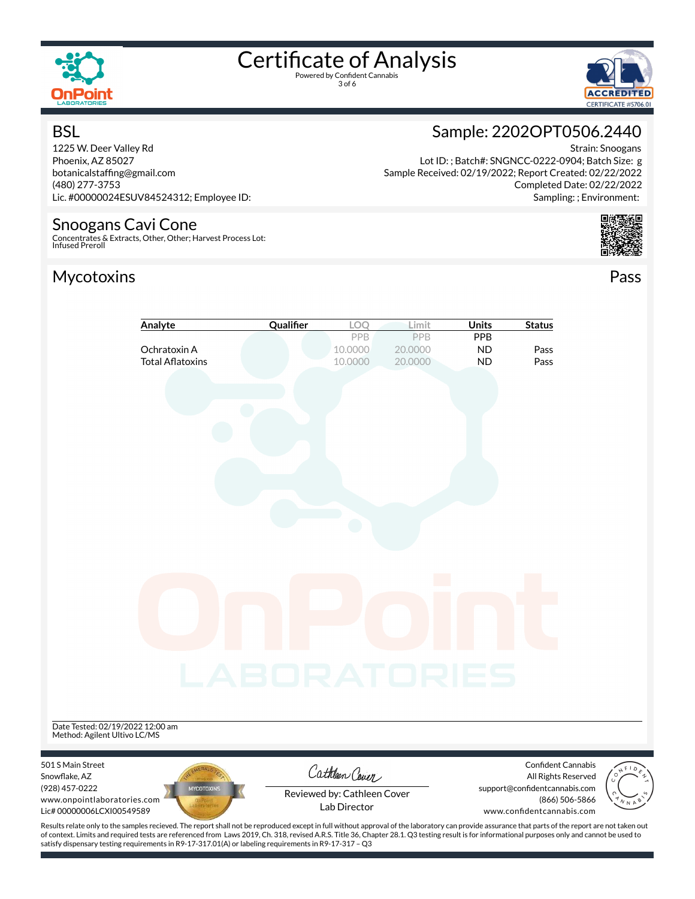

BSL

## Certificate of Analysis

3 of 6



Strain: Snoogans

### Sample: 2202OPT0506.2440

Lot ID: ; Batch#: SNGNCC-0222-0904; Batch Size: g

1225 W. Deer Valley Rd Phoenix, AZ 85027 botanicalstaffing@gmail.com (480) 277-3753 Lic. #00000024ESUV84524312; Employee ID:

#### Snoogans Cavi Cone

Concentrates & Extracts, Other, Other; Harvest Process Lot: Infused Preroll

#### Mycotoxins Pass





| Analyte                                                                    | Qualifier         | LOQ                                         | Limit                     | <b>Units</b>                         | <b>Status</b>                                                                |  |
|----------------------------------------------------------------------------|-------------------|---------------------------------------------|---------------------------|--------------------------------------|------------------------------------------------------------------------------|--|
| Ochratoxin A<br><b>Total Aflatoxins</b>                                    |                   | PPB<br>10.0000<br>10.0000                   | PPB<br>20.0000<br>20.0000 | <b>PPB</b><br><b>ND</b><br><b>ND</b> | Pass<br>Pass                                                                 |  |
|                                                                            |                   |                                             |                           |                                      |                                                                              |  |
|                                                                            |                   |                                             |                           |                                      |                                                                              |  |
|                                                                            |                   |                                             |                           |                                      |                                                                              |  |
|                                                                            |                   |                                             |                           |                                      |                                                                              |  |
|                                                                            |                   |                                             |                           |                                      |                                                                              |  |
|                                                                            |                   |                                             |                           |                                      |                                                                              |  |
|                                                                            |                   |                                             |                           |                                      |                                                                              |  |
|                                                                            |                   |                                             |                           |                                      |                                                                              |  |
|                                                                            |                   |                                             |                           |                                      |                                                                              |  |
|                                                                            | LABORATORIES      |                                             |                           |                                      |                                                                              |  |
|                                                                            |                   |                                             |                           |                                      |                                                                              |  |
| Date Tested: 02/19/2022 12:00 am                                           |                   |                                             |                           |                                      |                                                                              |  |
| Method: Agilent Ultivo LC/MS                                               |                   |                                             |                           |                                      |                                                                              |  |
| 501 S Main Street<br>Snowflake, AZ                                         |                   | Cathleen Cover                              |                           |                                      | Confident Cannabis<br>All Rights Reserved                                    |  |
| (928) 457-0222<br>www.onpointlaboratories.com<br>Lic# 00000006LCXI00549589 | <b>MYCOTOXINS</b> | Reviewed by: Cathleen Cover<br>Lab Director |                           |                                      | support@confidentcannabis.com<br>(866) 506-5866<br>www.confidentcannabis.com |  |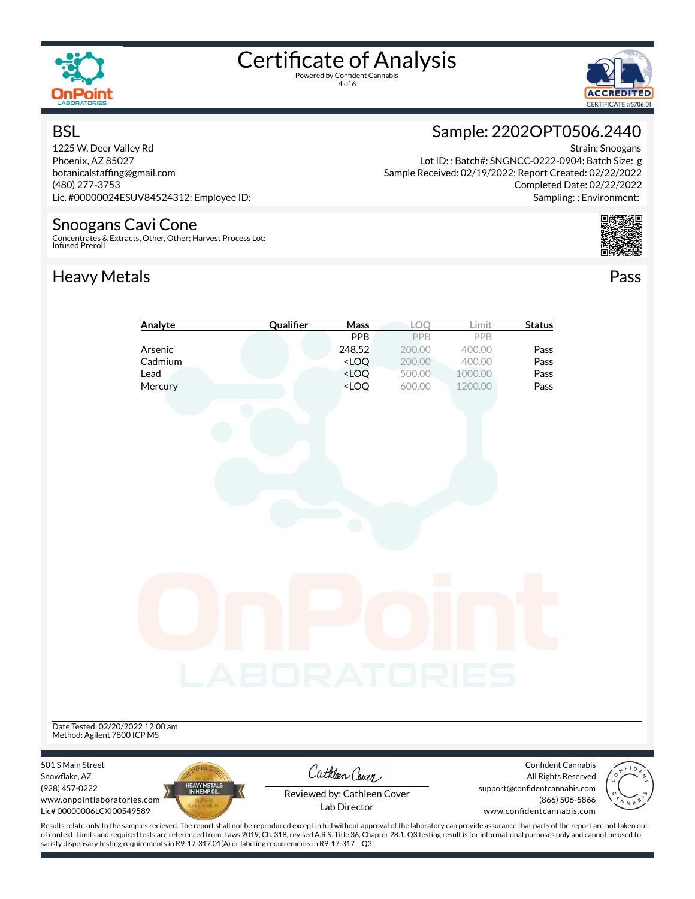

**BSL** 

## Certificate of Analysis

4 of 6



Strain: Snoogans

Completed Date: 02/22/2022 Sampling: ; Environment:

### Sample: 2202OPT0506.2440

Lot ID: ; Batch#: SNGNCC-0222-0904; Batch Size: g Sample Received: 02/19/2022; Report Created: 02/22/2022

1225 W. Deer Valley Rd Phoenix, AZ 85027 botanicalstaffing@gmail.com (480) 277-3753 Lic. #00000024ESUV84524312; Employee ID:

#### Snoogans Cavi Cone

Concentrates & Extracts, Other, Other; Harvest Process Lot: Infused Preroll

#### Heavy Metals **Pass**



|                                               | Analyte                     | Qualifier    | Mass                                                                                                         | LOQ              | Limit              | <b>Status</b>                                   |  |
|-----------------------------------------------|-----------------------------|--------------|--------------------------------------------------------------------------------------------------------------|------------------|--------------------|-------------------------------------------------|--|
|                                               |                             |              | <b>PPB</b>                                                                                                   | PPB              | PPB                |                                                 |  |
|                                               | Arsenic                     |              | 248.52                                                                                                       | 200.00           | 400.00             | Pass                                            |  |
|                                               | Cadmium<br>Lead             |              | <loq<br><loq< td=""><td>200.00<br/>500.00</td><td>400.00</td><td>Pass<br/>Pass</td><td></td></loq<></loq<br> | 200.00<br>500.00 | 400.00             | Pass<br>Pass                                    |  |
|                                               | Mercury                     |              | <loq< td=""><td>600.00</td><td>1000.00<br/>1200.00</td><td>Pass</td><td></td></loq<>                         | 600.00           | 1000.00<br>1200.00 | Pass                                            |  |
|                                               |                             |              |                                                                                                              |                  |                    |                                                 |  |
|                                               |                             |              |                                                                                                              |                  |                    |                                                 |  |
|                                               |                             |              |                                                                                                              |                  |                    |                                                 |  |
|                                               |                             |              |                                                                                                              |                  |                    |                                                 |  |
|                                               |                             |              |                                                                                                              |                  |                    |                                                 |  |
|                                               |                             |              |                                                                                                              |                  |                    |                                                 |  |
|                                               |                             |              |                                                                                                              |                  |                    |                                                 |  |
|                                               |                             |              |                                                                                                              |                  |                    |                                                 |  |
|                                               |                             |              |                                                                                                              |                  |                    |                                                 |  |
|                                               |                             |              |                                                                                                              |                  |                    |                                                 |  |
|                                               |                             |              |                                                                                                              |                  |                    |                                                 |  |
|                                               |                             |              |                                                                                                              |                  |                    |                                                 |  |
|                                               |                             |              |                                                                                                              |                  |                    |                                                 |  |
|                                               |                             |              |                                                                                                              |                  |                    |                                                 |  |
|                                               |                             |              |                                                                                                              |                  |                    |                                                 |  |
|                                               |                             |              |                                                                                                              |                  |                    |                                                 |  |
|                                               |                             |              |                                                                                                              |                  |                    |                                                 |  |
|                                               |                             |              |                                                                                                              |                  |                    |                                                 |  |
|                                               |                             |              |                                                                                                              |                  |                    |                                                 |  |
|                                               |                             |              |                                                                                                              |                  |                    |                                                 |  |
|                                               |                             | LABORATORIES |                                                                                                              |                  |                    |                                                 |  |
|                                               |                             |              |                                                                                                              |                  |                    |                                                 |  |
|                                               |                             |              |                                                                                                              |                  |                    |                                                 |  |
|                                               |                             |              |                                                                                                              |                  |                    |                                                 |  |
| Date Tested: 02/20/2022 12:00 am              |                             |              |                                                                                                              |                  |                    |                                                 |  |
| Method: Agilent 7800 ICP MS                   |                             |              |                                                                                                              |                  |                    |                                                 |  |
|                                               |                             |              |                                                                                                              |                  |                    |                                                 |  |
| 501 S Main Street                             |                             |              | Cathleen Cover                                                                                               |                  |                    | <b>Confident Cannabis</b>                       |  |
| Snowflake, AZ                                 |                             |              |                                                                                                              |                  |                    | All Rights Reserved                             |  |
| (928) 457-0222<br>www.onpointlaboratories.com | HEAVY METALS<br>IN HEMP OIL |              | Reviewed by: Cathleen Cover                                                                                  |                  |                    | support@confidentcannabis.com<br>(866) 506-5866 |  |
| Lic# 00000006LCXI00549589                     |                             |              | Lab Director                                                                                                 |                  |                    | www.confidentcannabis.com                       |  |
|                                               |                             |              |                                                                                                              |                  |                    |                                                 |  |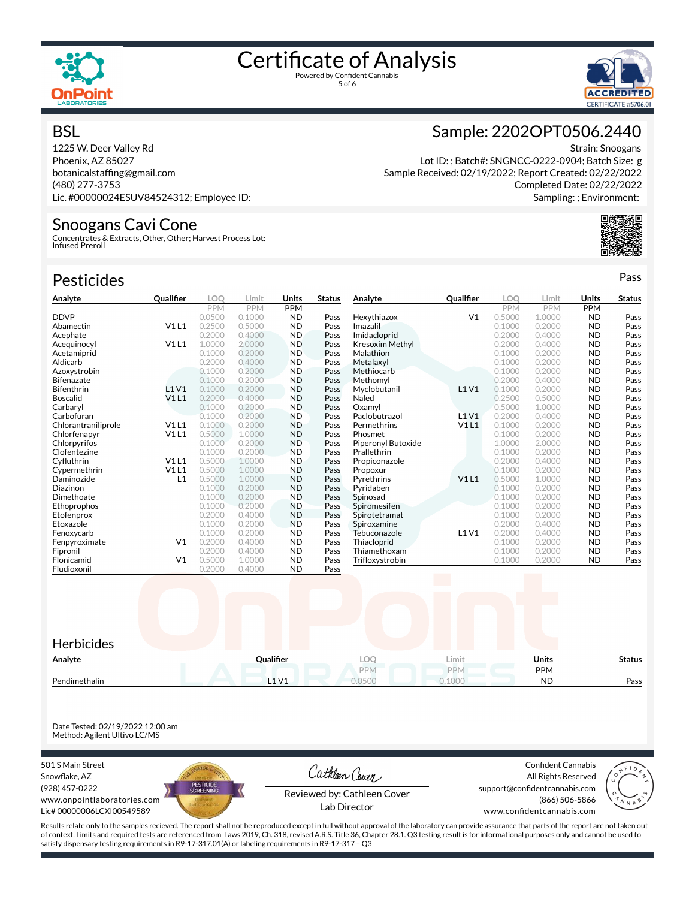

# Certificate of Analysis



#### **BSL**

1225 W. Deer Valley Rd Phoenix, AZ 85027 botanicalstaffing@gmail.com (480) 277-3753 Lic. #00000024ESUV84524312; Employee ID:

#### Snoogans Cavi Cone

Concentrates & Extracts, Other, Other; Harvest Process Lot: Infused Preroll

| <b>Pesticides</b>   |                |            |            |            |               |                    |                |            |        |            | Pass          |
|---------------------|----------------|------------|------------|------------|---------------|--------------------|----------------|------------|--------|------------|---------------|
| Analyte             | Qualifier      | LOO        | Limit      | Units      | <b>Status</b> | Analyte            | Qualifier      | LOO        | Limit  | Units      | <b>Status</b> |
|                     |                | <b>PPM</b> | <b>PPM</b> | <b>PPM</b> |               |                    |                | <b>PPM</b> | PPM    | <b>PPM</b> |               |
| <b>DDVP</b>         |                | 0.0500     | 0.1000     | <b>ND</b>  | Pass          | Hexythiazox        | V <sub>1</sub> | 0.5000     | 1.0000 | <b>ND</b>  | Pass          |
| Abamectin           | V1L1           | 0.2500     | 0.5000     | <b>ND</b>  | Pass          | Imazalil           |                | 0.1000     | 0.2000 | <b>ND</b>  | Pass          |
| Acephate            |                | 0.2000     | 0.4000     | <b>ND</b>  | Pass          | Imidacloprid       |                | 0.2000     | 0.4000 | <b>ND</b>  | Pass          |
| Acequinocyl         | V1L1           | 1.0000     | 2.0000     | <b>ND</b>  | Pass          | Kresoxim Methyl    |                | 0.2000     | 0.4000 | <b>ND</b>  | Pass          |
| Acetamiprid         |                | 0.1000     | 0.2000     | <b>ND</b>  | Pass          | Malathion          |                | 0.1000     | 0.2000 | <b>ND</b>  | Pass          |
| Aldicarb            |                | 0.2000     | 0.4000     | <b>ND</b>  | Pass          | Metalaxyl          |                | 0.1000     | 0.2000 | <b>ND</b>  | Pass          |
| Azoxystrobin        |                | 0.1000     | 0.2000     | <b>ND</b>  | Pass          | Methiocarb         |                | 0.1000     | 0.2000 | <b>ND</b>  | Pass          |
| Bifenazate          |                | 0.1000     | 0.2000     | <b>ND</b>  | Pass          | Methomyl           |                | 0.2000     | 0.4000 | <b>ND</b>  | Pass          |
| Bifenthrin          | L1V1           | 0.1000     | 0.2000     | <b>ND</b>  | Pass          | Myclobutanil       | L1V1           | 0.1000     | 0.2000 | <b>ND</b>  | Pass          |
| Boscalid            | V1L1           | 0.2000     | 0.4000     | <b>ND</b>  | Pass          | Naled              |                | 0.2500     | 0.5000 | <b>ND</b>  | Pass          |
| Carbarvl            |                | 0.1000     | 0.2000     | <b>ND</b>  | Pass          | Oxamvl             |                | 0.5000     | 1.0000 | <b>ND</b>  | Pass          |
| Carbofuran          |                | 0.1000     | 0.2000     | <b>ND</b>  | Pass          | Paclobutrazol      | L1V1           | 0.2000     | 0.4000 | <b>ND</b>  | Pass          |
| Chlorantraniliprole | V1L1           | 0.1000     | 0.2000     | <b>ND</b>  | Pass          | Permethrins        | V1L1           | 0.1000     | 0.2000 | <b>ND</b>  | Pass          |
| Chlorfenapyr        | V1L1           | 0.5000     | 1.0000     | <b>ND</b>  | Pass          | Phosmet            |                | 0.1000     | 0.2000 | <b>ND</b>  | Pass          |
| Chlorpyrifos        |                | 0.1000     | 0.2000     | <b>ND</b>  | Pass          | Piperonyl Butoxide |                | 1.0000     | 2.0000 | <b>ND</b>  | Pass          |
| Clofentezine        |                | 0.1000     | 0.2000     | <b>ND</b>  | Pass          | Prallethrin        |                | 0.1000     | 0.2000 | <b>ND</b>  | Pass          |
| Cyfluthrin          | V1L1           | 0.5000     | 1.0000     | <b>ND</b>  | Pass          | Propiconazole      |                | 0.2000     | 0.4000 | <b>ND</b>  | Pass          |
| Cypermethrin        | V1L1           | 0.5000     | 1.0000     | <b>ND</b>  | Pass          | Propoxur           |                | 0.1000     | 0.2000 | <b>ND</b>  | Pass          |
| Daminozide          | L1             | 0.5000     | 1.0000     | <b>ND</b>  | Pass          | Pyrethrins         | V1L1           | 0.5000     | 1.0000 | <b>ND</b>  | Pass          |
| Diazinon            |                | 0.1000     | 0.2000     | <b>ND</b>  | Pass          | Pyridaben          |                | 0.1000     | 0.2000 | <b>ND</b>  | Pass          |
| Dimethoate          |                | 0.1000     | 0.2000     | <b>ND</b>  | Pass          | Spinosad           |                | 0.1000     | 0.2000 | <b>ND</b>  | Pass          |
| Ethoprophos         |                | 0.1000     | 0.2000     | <b>ND</b>  | Pass          | Spiromesifen       |                | 0.1000     | 0.2000 | <b>ND</b>  | Pass          |
| Etofenprox          |                | 0.2000     | 0.4000     | <b>ND</b>  | Pass          | Spirotetramat      |                | 0.1000     | 0.2000 | <b>ND</b>  | Pass          |
| Etoxazole           |                | 0.1000     | 0.2000     | <b>ND</b>  | Pass          | Spiroxamine        |                | 0.2000     | 0.4000 | <b>ND</b>  | Pass          |
| Fenoxycarb          |                | 0.1000     | 0.2000     | <b>ND</b>  | Pass          | Tebuconazole       | <b>L1V1</b>    | 0.2000     | 0.4000 | <b>ND</b>  | Pass          |
| Fenpyroximate       | V <sub>1</sub> | 0.2000     | 0.4000     | <b>ND</b>  | Pass          | Thiacloprid        |                | 0.1000     | 0.2000 | <b>ND</b>  | Pass          |
| Fipronil            |                | 0.2000     | 0.4000     | <b>ND</b>  | Pass          | Thiamethoxam       |                | 0.1000     | 0.2000 | <b>ND</b>  | Pass          |
| Flonicamid          | V <sub>1</sub> | 0.5000     | 1.0000     | <b>ND</b>  | Pass          | Trifloxystrobin    |                | 0.1000     | 0.2000 | <b>ND</b>  | Pass          |
| Fludioxonil         |                | 0.2000     | 0.4000     | <b>ND</b>  | Pass          |                    |                |            |        |            |               |



Date Tested: 02/19/2022 12:00 am Method: Agilent Ultivo LC/MS

501 S Main Street Snowflake, AZ (928) 457-0222 www.onpointlaboratories.com Lic# 00000006LCXI00549589



Cathleen Cover

Confident Cannabis All Rights Reserved support@confidentcannabis.com (866) 506-5866



Reviewed by: Cathleen Cover Lab Director

www.confidentcannabis.com

Results relate only to the samples recieved. The report shall not be reproduced except in full without approval of the laboratory can provide assurance that parts of the report are not taken out of context. Limits and required tests are referenced from Laws 2019, Ch. 318, revised A.R.S. Title 36, Chapter 28.1. Q3 testing result is for informational purposes only and cannot be used to satisfy dispensary testing requirements in R9-17-317.01(A) or labeling requirements in R9-17-317 – Q3

### Sample: 2202OPT0506.2440

Strain: Snoogans Lot ID: ; Batch#: SNGNCC-0222-0904; Batch Size: g Sample Received: 02/19/2022; Report Created: 02/22/2022 Completed Date: 02/22/2022 Sampling: ; Environment: